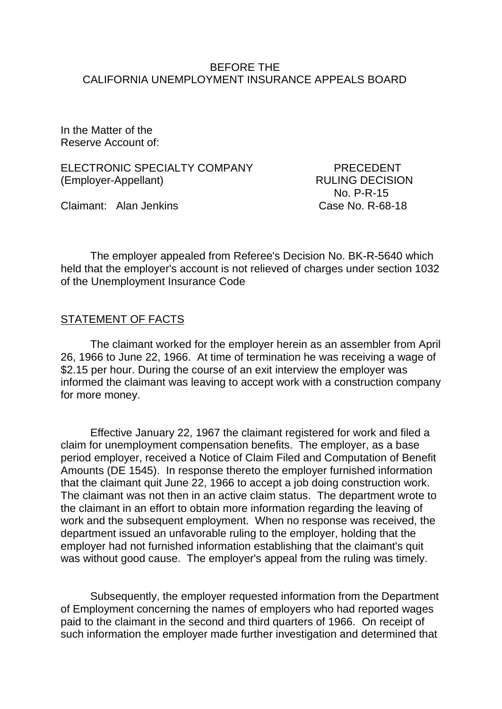#### BEFORE THE CALIFORNIA UNEMPLOYMENT INSURANCE APPEALS BOARD

In the Matter of the Reserve Account of:

ELECTRONIC SPECIALTY COMPANY PRECEDENT (Employer-Appellant) RULING DECISION

Claimant: Alan Jenkins Case No. R-68-18

No. P-R-15

The employer appealed from Referee's Decision No. BK-R-5640 which held that the employer's account is not relieved of charges under section 1032 of the Unemployment Insurance Code

## STATEMENT OF FACTS

The claimant worked for the employer herein as an assembler from April 26, 1966 to June 22, 1966. At time of termination he was receiving a wage of \$2.15 per hour. During the course of an exit interview the employer was informed the claimant was leaving to accept work with a construction company for more money.

Effective January 22, 1967 the claimant registered for work and filed a claim for unemployment compensation benefits. The employer, as a base period employer, received a Notice of Claim Filed and Computation of Benefit Amounts (DE 1545). In response thereto the employer furnished information that the claimant quit June 22, 1966 to accept a job doing construction work. The claimant was not then in an active claim status. The department wrote to the claimant in an effort to obtain more information regarding the leaving of work and the subsequent employment. When no response was received, the department issued an unfavorable ruling to the employer, holding that the employer had not furnished information establishing that the claimant's quit was without good cause. The employer's appeal from the ruling was timely.

Subsequently, the employer requested information from the Department of Employment concerning the names of employers who had reported wages paid to the claimant in the second and third quarters of 1966. On receipt of such information the employer made further investigation and determined that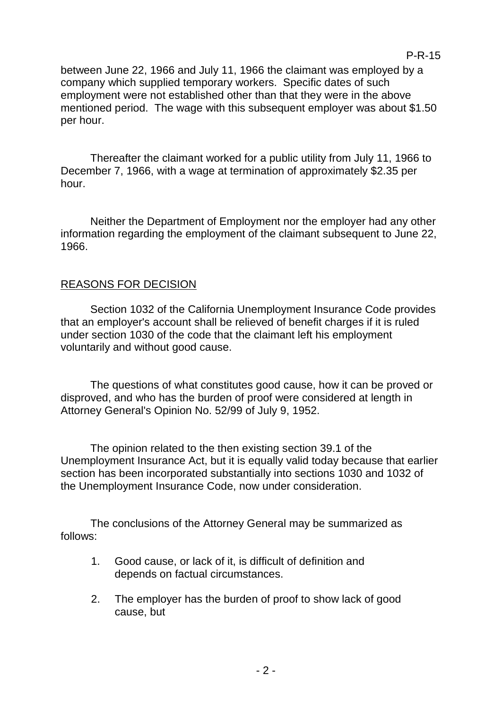between June 22, 1966 and July 11, 1966 the claimant was employed by a company which supplied temporary workers. Specific dates of such employment were not established other than that they were in the above mentioned period. The wage with this subsequent employer was about \$1.50 per hour.

Thereafter the claimant worked for a public utility from July 11, 1966 to December 7, 1966, with a wage at termination of approximately \$2.35 per hour.

Neither the Department of Employment nor the employer had any other information regarding the employment of the claimant subsequent to June 22, 1966.

# REASONS FOR DECISION

Section 1032 of the California Unemployment Insurance Code provides that an employer's account shall be relieved of benefit charges if it is ruled under section 1030 of the code that the claimant left his employment voluntarily and without good cause.

The questions of what constitutes good cause, how it can be proved or disproved, and who has the burden of proof were considered at length in Attorney General's Opinion No. 52/99 of July 9, 1952.

The opinion related to the then existing section 39.1 of the Unemployment Insurance Act, but it is equally valid today because that earlier section has been incorporated substantially into sections 1030 and 1032 of the Unemployment Insurance Code, now under consideration.

The conclusions of the Attorney General may be summarized as follows:

- 1. Good cause, or lack of it, is difficult of definition and depends on factual circumstances.
- 2. The employer has the burden of proof to show lack of good cause, but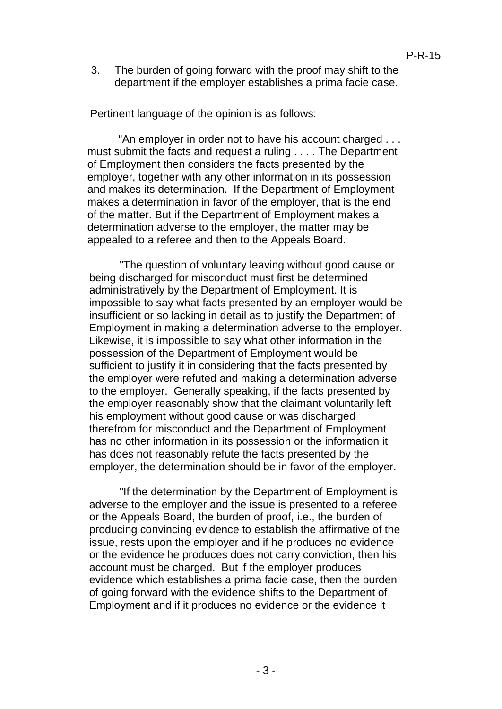3. The burden of going forward with the proof may shift to the department if the employer establishes a prima facie case.

Pertinent language of the opinion is as follows:

"An employer in order not to have his account charged . . . must submit the facts and request a ruling . . . . The Department of Employment then considers the facts presented by the employer, together with any other information in its possession and makes its determination. If the Department of Employment makes a determination in favor of the employer, that is the end of the matter. But if the Department of Employment makes a determination adverse to the employer, the matter may be appealed to a referee and then to the Appeals Board.

"The question of voluntary leaving without good cause or being discharged for misconduct must first be determined administratively by the Department of Employment. It is impossible to say what facts presented by an employer would be insufficient or so lacking in detail as to justify the Department of Employment in making a determination adverse to the employer. Likewise, it is impossible to say what other information in the possession of the Department of Employment would be sufficient to justify it in considering that the facts presented by the employer were refuted and making a determination adverse to the employer. Generally speaking, if the facts presented by the employer reasonably show that the claimant voluntarily left his employment without good cause or was discharged therefrom for misconduct and the Department of Employment has no other information in its possession or the information it has does not reasonably refute the facts presented by the employer, the determination should be in favor of the employer.

"If the determination by the Department of Employment is adverse to the employer and the issue is presented to a referee or the Appeals Board, the burden of proof, i.e., the burden of producing convincing evidence to establish the affirmative of the issue, rests upon the employer and if he produces no evidence or the evidence he produces does not carry conviction, then his account must be charged. But if the employer produces evidence which establishes a prima facie case, then the burden of going forward with the evidence shifts to the Department of Employment and if it produces no evidence or the evidence it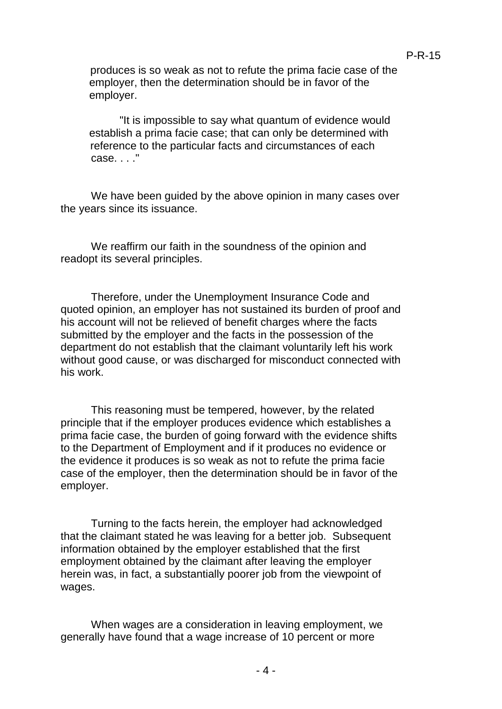produces is so weak as not to refute the prima facie case of the employer, then the determination should be in favor of the employer.

P-R-15

"It is impossible to say what quantum of evidence would establish a prima facie case; that can only be determined with reference to the particular facts and circumstances of each case. . . ."

We have been guided by the above opinion in many cases over the years since its issuance.

We reaffirm our faith in the soundness of the opinion and readopt its several principles.

Therefore, under the Unemployment Insurance Code and quoted opinion, an employer has not sustained its burden of proof and his account will not be relieved of benefit charges where the facts submitted by the employer and the facts in the possession of the department do not establish that the claimant voluntarily left his work without good cause, or was discharged for misconduct connected with his work.

This reasoning must be tempered, however, by the related principle that if the employer produces evidence which establishes a prima facie case, the burden of going forward with the evidence shifts to the Department of Employment and if it produces no evidence or the evidence it produces is so weak as not to refute the prima facie case of the employer, then the determination should be in favor of the employer.

Turning to the facts herein, the employer had acknowledged that the claimant stated he was leaving for a better job. Subsequent information obtained by the employer established that the first employment obtained by the claimant after leaving the employer herein was, in fact, a substantially poorer job from the viewpoint of wages.

When wages are a consideration in leaving employment, we generally have found that a wage increase of 10 percent or more